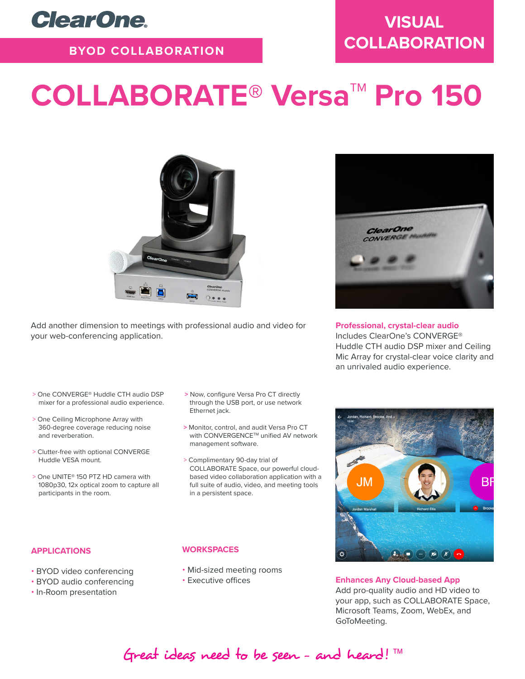

### **BYOD COLLABORATION**

# COLLABORATE<sup>®</sup> Versa<sup>™</sup> Pro 150



Add another dimension to meetings with professional audio and video for your web-conferencing application.

- > One CONVERGE® Huddle CTH audio DSP mixer for a professional audio experience.
- > One Ceiling Microphone Array with 360-degree coverage reducing noise and reverberation.
- > Clutter-free with optional CONVERGE Huddle VESA mount.
- > One UNITE® 150 PTZ HD camera with 1080p30, 12x optical zoom to capture all participants in the room.

#### **APPLICATIONS**

- BYOD video conferencing
- BYOD audio conferencing
- In-Room presentation

#### **>** Now, configure Versa Pro CT directly through the USB port, or use network Ethernet jack.

- **>** Monitor, control, and audit Versa Pro CT with CONVERGENCE™ unified AV network management software.
- > Complimentary 90-day trial of COLLABORATE Space, our powerful cloudbased video collaboration application with a full suite of audio, video, and meeting tools in a persistent space.

#### **WORKSPACES**

- Mid-sized meeting rooms
- Executive offices



#### **Professional, crystal-clear audio**

Includes ClearOne's CONVERGE® Huddle CTH audio DSP mixer and Ceiling Mic Array for crystal-clear voice clarity and an unrivaled audio experience.



**Enhances Any Cloud-based App**  Add pro-quality audio and HD video to your app, such as COLLABORATE Space, Microsoft Teams, Zoom, WebEx, and GoToMeeting.

## Great ideas need to be seen - and heard!  $TM$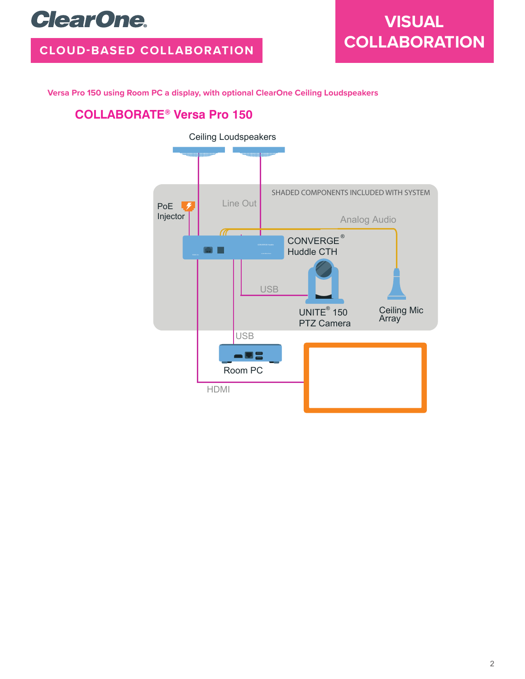## **ClearOne.**

### **CLOUD-BASED COLLABORATION**

## **VISUAL COLLABORATION**

**Versa Pro 150 using Room PC a display, with optional ClearOne Ceiling Loudspeakers**

### **COLLABORATE®** Versa Pro 150